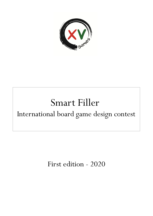

# Smart Filler International board game design contest

First edition - 2020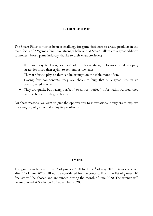#### **INTRODUCTION**

The Smart Filler contest is born as challenge for game designers to create products in the main focus of XVgames' line. We strongly believe that Smart Fillers are a great addition to modern board game industry, thanks to their characteristics:

- they are easy to learn, so most of the brain strength focuses on developing strategies more than trying to remember the rules.
- They are fast to play, so they can be brought on the table more often.
- Having few components, they are cheap to buy, that is a great plus in an overcrowded market.
- They are quick, but having perfect ( or almost perfect) information rulesets they can reach deep strategical layers.

For these reasons, we want to give the opportunity to international designers to explore this category of games and enjoy its peculiarity.

#### **TIMING**

The games can be send from  $1<sup>st</sup>$  of january 2020 to the  $30<sup>th</sup>$  of may 2020. Games received after  $1<sup>st</sup>$  of June 2020 will not be considered for the contest. From the list of games, 10 finalists will be chosen and announced during the month of june 2020. The winner will be announced at Xvday on 15<sup>th</sup> november 2020.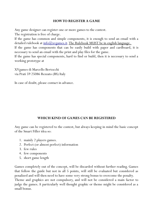## **HOW TO REGISTER A GAME**

Any game designer can register one or more games to the contest.

The registration is free of charge.

If the game has common and simple components, it is enough to send an email with a detailed rulebook at  $\inf(0, \alpha)$ xvgames. it. The Rulebook MUST be in english language.

If the game has components that can be easily build with paper and cardboard, it is necessary to send an email with the print and play files for the game.

If the game has special components, hard to find or build, then it is necessary to send a working prototype at

XVgames di Marcello Bertocchi via Prati 59 25086 Rezzato (BS) Italy

In case of doubt, please contact in advance.

# **WHICH KIND OF GAMES CAN BE REGISTERED**

Any game can be registered to the contest, but always keeping in mind the basic concept of the Smart Filler idea so:

- 1. mainly 2 players games.
- 2. Perfect (or almost perfect) information
- 3. few rules
- 4. few components
- 5. short game length

Games completely out of the concept, will be discarded without further reading. Games that follow the guide but not in all 5 points, will still be evaluated but considered as penalized and will then need to have some very strong bonus to overcome the penalty. Theme and graphics are not compulsory, and will not be considered a main factor to judge the games. A particularly well thought graphic or theme might be considered as a small bonus.